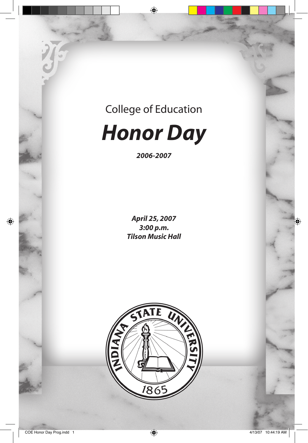College of Education *Honor Day*

 $\bigoplus$ 

# *2006-2007*

*April 25, 2007 3:00 p.m. Tilson Music Hall*



 $\bigoplus$ 

۰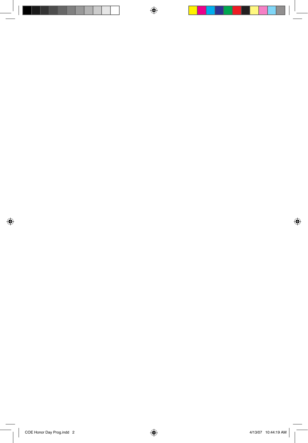

 $\frac{1}{\sqrt{2}}$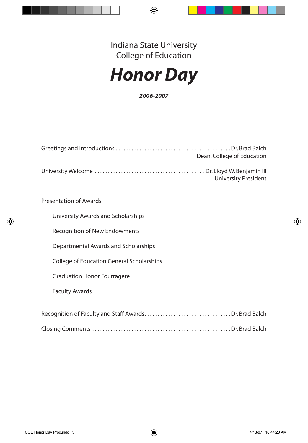

 $\bigoplus$ 



*2006-2007*

Presentation of Awards

⊕

University Awards and Scholarships

Recognition of New Endowments

Departmental Awards and Scholarships

College of Education General Scholarships

Graduation Honor Fourragère

Faculty Awards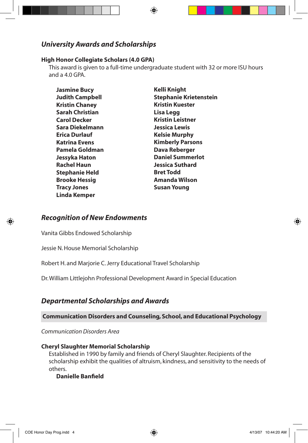# *University Awards and Scholarships*

# **High Honor Collegiate Scholars (4.0 GPA)**

This award is given to a full-time undergraduate student with 32 or more ISU hours and a 4.0 GPA.

⊕

| Kelli Knight                  |
|-------------------------------|
| <b>Stephanie Krietenstein</b> |
| <b>Kristin Kuester</b>        |
| Lisa Legg                     |
| <b>Kristin Leistner</b>       |
| Jessica Lewis                 |
| Kelsie Murphy                 |
| <b>Kimberly Parsons</b>       |
| Dava Reberger                 |
| <b>Daniel Summerlot</b>       |
| Jessica Suthard               |
| <b>Bret Todd</b>              |
| Amanda Wilson                 |
| Susan Young                   |
|                               |
|                               |

# *Recognition of New Endowments*

Vanita Gibbs Endowed Scholarship

⇔

Jessie N. House Memorial Scholarship

Robert H. and Marjorie C. Jerry Educational Travel Scholarship

Dr. William Littlejohn Professional Development Award in Special Education

# *Departmental Scholarships and Awards*

# **Communication Disorders and Counseling, School, and Educational Psychology**

*Communication Disorders Area*

## **Cheryl Slaughter Memorial Scholarship**

Established in 1990 by family and friends of Cheryl Slaughter. Recipients of the scholarship exhibit the qualities of altruism, kindness, and sensitivity to the needs of others.

# **Danielle Banfield**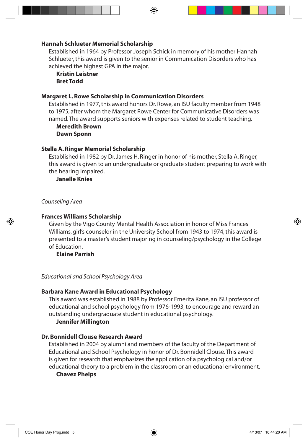

Established in 1964 by Professor Joseph Schick in memory of his mother Hannah Schlueter, this award is given to the senior in Communication Disorders who has achieved the highest GPA in the major.

# **Kristin Leistner Bret Todd**

# **Margaret L. Rowe Scholarship in Communication Disorders**

Established in 1977, this award honors Dr. Rowe, an ISU faculty member from 1948 to 1975, after whom the Margaret Rowe Center for Communicative Disorders was named. The award supports seniors with expenses related to student teaching.

 **Meredith Brown Dawn Sponn**

#### **Stella A. Ringer Memorial Scholarship**

Established in 1982 by Dr. James H. Ringer in honor of his mother, Stella A. Ringer, this award is given to an undergraduate or graduate student preparing to work with the hearing impaired.

 **Janelle Knies**

*Counseling Area*

## **Frances Williams Scholarship**

Given by the Vigo County Mental Health Association in honor of Miss Frances Williams, girl's counselor in the University School from 1943 to 1974, this award is presented to a master's student majoring in counseling/psychology in the College of Education.

 **Elaine Parrish**

## *Educational and School Psychology Area*

# **Barbara Kane Award in Educational Psychology**

This award was established in 1988 by Professor Emerita Kane, an ISU professor of educational and school psychology from 1976-1993, to encourage and reward an outstanding undergraduate student in educational psychology.

# **Jennifer Millington**

# **Dr. Bonnidell Clouse Research Award**

Established in 2004 by alumni and members of the faculty of the Department of Educational and School Psychology in honor of Dr. Bonnidell Clouse. This award is given for research that emphasizes the application of a psychological and/or educational theory to a problem in the classroom or an educational environment.  **Chavez Phelps**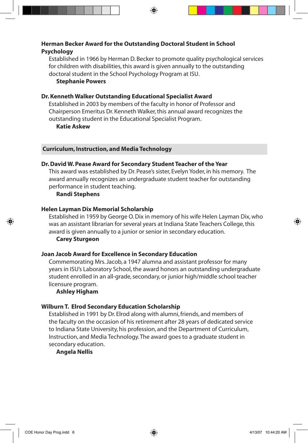

Established in 1966 by Herman D. Becker to promote quality psychological services for children with disabilities, this award is given annually to the outstanding doctoral student in the School Psychology Program at ISU.

# **Stephanie Powers**

## **Dr. Kenneth Walker Outstanding Educational Specialist Award**

Established in 2003 by members of the faculty in honor of Professor and Chairperson Emeritus Dr. Kenneth Walker, this annual award recognizes the outstanding student in the Educational Specialist Program.

 **Katie Askew**

## **Curriculum, Instruction, and Media Technology**

## **Dr. David W. Pease Award for Secondary Student Teacher of the Year**

This award was established by Dr. Pease's sister, Evelyn Yoder, in his memory. The award annually recognizes an undergraduate student teacher for outstanding performance in student teaching.

## **Randi Stephens**

## **Helen Layman Dix Memorial Scholarship**

Established in 1959 by George O. Dix in memory of his wife Helen Layman Dix, who was an assistant librarian for several years at Indiana State Teachers College, this award is given annually to a junior or senior in secondary education.

#### **Carey Sturgeon**

⊕

#### **Joan Jacob Award for Excellence in Secondary Education**

Commemorating Mrs. Jacob, a 1947 alumna and assistant professor for many years in ISU's Laboratory School, the award honors an outstanding undergraduate student enrolled in an all-grade, secondary, or junior high/middle school teacher licensure program.

#### **Ashley Higham**

#### **Wilburn T. Elrod Secondary Education Scholarship**

Established in 1991 by Dr. Elrod along with alumni, friends, and members of the faculty on the occasion of his retirement after 28 years of dedicated service to Indiana State University, his profession, and the Department of Curriculum, Instruction, and Media Technology. The award goes to a graduate student in secondary education.

# **Angela Nellis**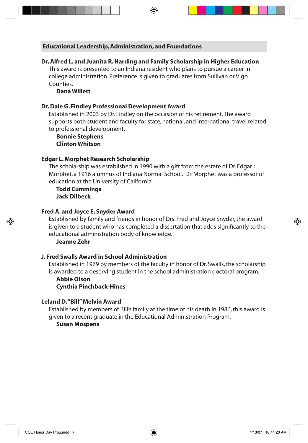# **Educational Leadership, Administration, and Foundations**

# **Dr. Alfred L. and Juanita R. Harding and Family Scholarship in Higher Education**

This award is presented to an Indiana resident who plans to pursue a career in college administration. Preference is given to graduates from Sullivan or Vigo counties.

# **Dana Willett**

## **Dr. Dale G. Findley Professional Development Award**

Established in 2003 by Dr. Findley on the occasion of his retirement. The award supports both student and faculty for state, national, and international travel related to professional development.

 **Bonnie Stephens Clinton Whitson**

## **Edgar L. Morphet Research Scholarship**

The scholarship was established in 1990 with a gift from the estate of Dr. Edgar L. Morphet, a 1916 alumnus of Indiana Normal School. Dr. Morphet was a professor of education at the University of California.

 **Todd Cummings Jack Dilbeck**

#### **Fred A. and Joyce E. Snyder Award**

Established by family and friends in honor of Drs. Fred and Joyce Snyder, the award is given to a student who has completed a dissertation that adds significantly to the educational administration body of knowledge.

 **Jeanne Zehr**

# **J. Fred Swalls Award in School Administration**

Established in 1979 by members of the faculty in honor of Dr. Swalls, the scholarship is awarded to a deserving student in the school administration doctoral program.

# **Abbie Olson Cynthia Pinchback-Hines**

## **Leland D. "Bill" Melvin Award**

Established by members of Bill's family at the time of his death in 1986, this award is given to a recent graduate in the Educational Administration Program.

 **Susan Mospens**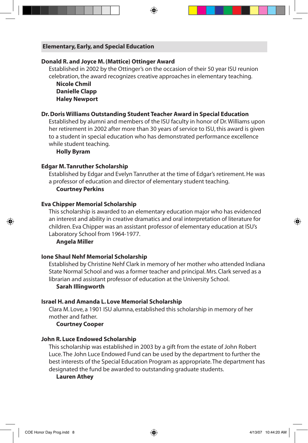# **Elementary, Early, and Special Education**

## **Donald R. and Joyce M. (Mattice) Ottinger Award**

Established in 2002 by the Ottinger's on the occasion of their 50 year ISU reunion celebration, the award recognizes creative approaches in elementary teaching.

 **Nicole Chmil Danielle Clapp Haley Newport**

#### **Dr. Doris Williams Outstanding Student Teacher Award in Special Education**

Established by alumni and members of the ISU faculty in honor of Dr. Williams upon her retirement in 2002 after more than 30 years of service to ISU, this award is given to a student in special education who has demonstrated performance excellence while student teaching.

 **Holly Byram**

## **Edgar M. Tanruther Scholarship**

Established by Edgar and Evelyn Tanruther at the time of Edgar's retirement. He was a professor of education and director of elementary student teaching.

# **Courtney Perkins**

## **Eva Chipper Memorial Scholarship**

This scholarship is awarded to an elementary education major who has evidenced an interest and ability in creative dramatics and oral interpretation of literature for children. Eva Chipper was an assistant professor of elementary education at ISU's Laboratory School from 1964-1977.

# **Angela Miller**

#### **Ione Shaul Nehf Memorial Scholarship**

Established by Christine Nehf Clark in memory of her mother who attended Indiana State Normal School and was a former teacher and principal. Mrs. Clark served as a librarian and assistant professor of education at the University School.

#### **Sarah Illingworth**

#### **Israel H. and Amanda L. Love Memorial Scholarship**

Clara M. Love, a 1901 ISU alumna, established this scholarship in memory of her mother and father.

## **Courtney Cooper**

#### **John R. Luce Endowed Scholarship**

This scholarship was established in 2003 by a gift from the estate of John Robert Luce. The John Luce Endowed Fund can be used by the department to further the best interests of the Special Education Program as appropriate. The department has designated the fund be awarded to outstanding graduate students.

## **Lauren Athey**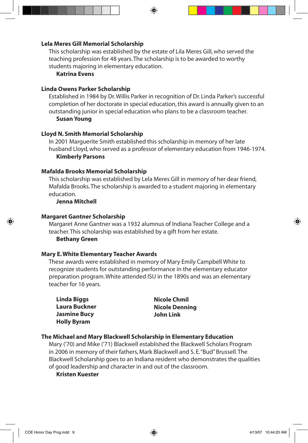

This scholarship was established by the estate of Lila Meres Gill, who served the teaching profession for 48 years. The scholarship is to be awarded to worthy students majoring in elementary education.

 **Katrina Evens**

## **Linda Owens Parker Scholarship**

Established in 1984 by Dr. Willis Parker in recognition of Dr. Linda Parker's successful completion of her doctorate in special education, this award is annually given to an outstanding junior in special education who plans to be a classroom teacher.

## **Susan Young**

#### **Lloyd N. Smith Memorial Scholarship**

In 2001 Marguerite Smith established this scholarship in memory of her late husband Lloyd, who served as a professor of elementary education from 1946-1974.  **Kimberly Parsons**

## **Mafalda Brooks Memorial Scholarship**

This scholarship was established by Lela Meres Gill in memory of her dear friend, Mafalda Brooks. The scholarship is awarded to a student majoring in elementary education.

 **Jenna Mitchell**

# **Margaret Gantner Scholarship**

Margaret Anne Gantner was a 1932 alumnus of Indiana Teacher College and a teacher. This scholarship was established by a gift from her estate.

 **Bethany Green**

#### **Mary E. White Elementary Teacher Awards**

These awards were established in memory of Mary Emily Campbell White to recognize students for outstanding performance in the elementary educator preparation program. White attended ISU in the 1890s and was an elementary teacher for 16 years.

 **Linda Biggs Laura Buckner Jasmine Bucy Holly Byram**

**Nicole Chmil Nicole Denning John Link**

## **The Michael and Mary Blackwell Scholarship in Elementary Education**

Mary ('70) and Mike ('71) Blackwell established the Blackwell Scholars Program in 2006 in memory of their fathers, Mark Blackwell and S. E. "Bud" Brussell. The Blackwell Scholarship goes to an Indiana resident who demonstrates the qualities of good leadership and character in and out of the classroom.

 **Kristen Kuester**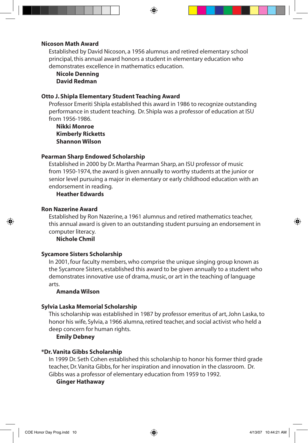

Established by David Nicoson, a 1956 alumnus and retired elementary school principal, this annual award honors a student in elementary education who demonstrates excellence in mathematics education.

 **Nicole Denning David Redman**

# **Otto J. Shipla Elementary Student Teaching Award**

Professor Emeriti Shipla established this award in 1986 to recognize outstanding performance in student teaching. Dr. Shipla was a professor of education at ISU from 1956-1986.

 **Nikki Monroe Kimberly Ricketts Shannon Wilson**

## **Pearman Sharp Endowed Scholarship**

Established in 2000 by Dr. Martha Pearman Sharp, an ISU professor of music from 1950-1974, the award is given annually to worthy students at the junior or senior level pursuing a major in elementary or early childhood education with an endorsement in reading.

 **Heather Edwards**

# **Ron Nazerine Award**

Established by Ron Nazerine, a 1961 alumnus and retired mathematics teacher, this annual award is given to an outstanding student pursuing an endorsement in computer literacy.

 **Nichole Chmil**

#### **Sycamore Sisters Scholarship**

In 2001, four faculty members, who comprise the unique singing group known as the Sycamore Sisters, established this award to be given annually to a student who demonstrates innovative use of drama, music, or art in the teaching of language arts.

# **Amanda Wilson**

#### **Sylvia Laska Memorial Scholarship**

This scholarship was established in 1987 by professor emeritus of art, John Laska, to honor his wife, Sylvia, a 1966 alumna, retired teacher, and social activist who held a deep concern for human rights.

 **Emily Debney**

## **\*Dr. Vanita Gibbs Scholarship**

In 1999 Dr. Seth Cohen established this scholarship to honor his former third grade teacher, Dr. Vanita Gibbs, for her inspiration and innovation in the classroom. Dr. Gibbs was a professor of elementary education from 1959 to 1992.

# **Ginger Hathaway**

COE Honor Day Prog.indd 10  $\overline{\bigoplus}$  4/13/07 10:44:21 AM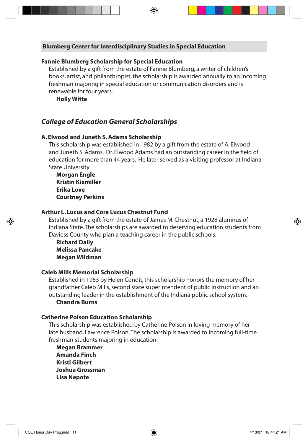# **Blumberg Center for Interdisciplinary Studies in Special Education**

# **Fannie Blumberg Scholarship for Special Education**

Established by a gift from the estate of Fannie Blumberg, a writer of children's books, artist, and philanthropist, the scholarship is awarded annually to an incoming freshman majoring in special education or communication disorders and is renewable for four years.

 **Holly Witte**

# *College of Education General Scholarships*

## **A. Elwood and Juneth S. Adams Scholarship**

This scholarship was established in 1982 by a gift from the estate of A. Elwood and Juneth S. Adams. Dr. Elwood Adams had an outstanding career in the field of education for more than 44 years. He later served as a visiting professor at Indiana State University.

 **Morgan Engle Kristin Kixmiller Erika Love Courtney Perkins**

#### **Arthur L. Lucus and Cora Lucus Chestnut Fund**

Established by a gift from the estate of James M. Chestnut, a 1928 alumnus of Indiana State. The scholarships are awarded to deserving education students from Daviess County who plan a teaching career in the public schools.

 **Richard Daily Melissa Pancake Megan Wildman**

#### **Caleb Mills Memorial Scholarship**

Established in 1953 by Helen Condit, this scholarship honors the memory of her grandfather Caleb Mills, second state superintendent of public instruction and an outstanding leader in the establishment of the Indiana public school system.  **Chandra Burns**

#### **Catherine Polson Education Scholarship**

This scholarship was established by Catherine Polson in loving memory of her late husband, Lawrence Polson. The scholarship is awarded to incoming full-time freshman students majoring in education.

 **Megan Brammer Amanda Finch Kristi Gilbert Joshua Grossman Lisa Nepote**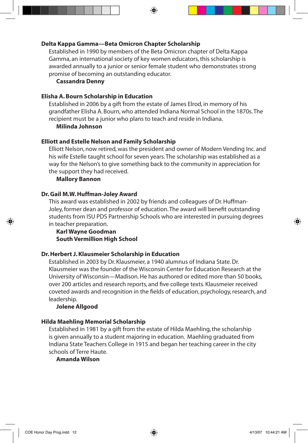

Established in 1990 by members of the Beta Omicron chapter of Delta Kappa Gamma, an international society of key women educators, this scholarship is awarded annually to a junior or senior female student who demonstrates strong promise of becoming an outstanding educator.

# **Cassandra Denny**

# **Elisha A. Bourn Scholarship in Education**

Established in 2006 by a gift from the estate of James Elrod, in memory of his grandfather Elisha A. Bourn, who attended Indiana Normal School in the 1870s. The recipient must be a junior who plans to teach and reside in Indiana.

## **Milinda Johnson**

## **Elliott and Estelle Nelson and Family Scholarship**

Elliott Nelson, now retired, was the president and owner of Modern Vending Inc. and his wife Estelle taught school for seven years. The scholarship was established as a way for the Nelson's to give something back to the community in appreciation for the support they had received.

## **Mallory Bannon**

#### **Dr. Gail M.W. Huffman-Joley Award**

This award was established in 2002 by friends and colleagues of Dr. Huffman-Joley, former dean and professor of education. The award will benefit outstanding students from ISU PDS Partnership Schools who are interested in pursuing degrees in teacher preparation.

 **Karl Wayne Goodman South Vermillion High School**

## **Dr. Herbert J. Klausmeier Scholarship in Education**

Established in 2003 by Dr. Klausmeier, a 1940 alumnus of Indiana State. Dr. Klausmeier was the founder of the Wisconsin Center for Education Research at the University of Wisconsin—Madison. He has authored or edited more than 50 books, over 200 articles and research reports, and five college texts. Klausmeier received coveted awards and recognition in the fields of education, psychology, research, and leadership.

# **Jolene Allgood**

## **Hilda Maehling Memorial Scholarship**

Established in 1981 by a gift from the estate of Hilda Maehling, the scholarship is given annually to a student majoring in education. Maehling graduated from Indiana State Teachers College in 1915 and began her teaching career in the city schools of Terre Haute.

# **Amanda Wilson**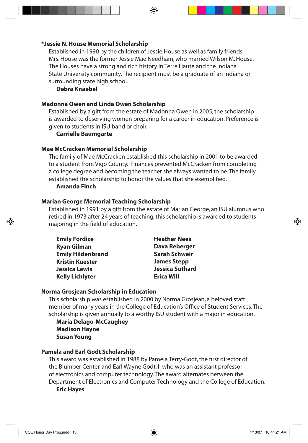

Established in 1990 by the children of Jessie House as well as family friends. Mrs. House was the former Jessie Mae Needham, who married Wilson M. House. The Houses have a strong and rich history in Terre Haute and the Indiana State University community. The recipient must be a graduate of an Indiana or surrounding state high school.

#### **Debra Knaebel**

## **Madonna Owen and Linda Owen Scholarship**

Established by a gift from the estate of Madonna Owen in 2005, the scholarship is awarded to deserving women preparing for a career in education. Preference is given to students in ISU band or choir.

 **Carrielle Baumgarte**

#### **Mae McCracken Memorial Scholarship**

The family of Mae McCracken established this scholarship in 2001 to be awarded to a student from Vigo County. Finances prevented McCracken from completing a college degree and becoming the teacher she always wanted to be. The family established the scholarship to honor the values that she exemplified.

# **Amanda Finch**

#### **Marian George Memorial Teaching Scholarship**

Established in 1991 by a gift from the estate of Marian George, an ISU alumnus who retired in 1973 after 24 years of teaching, this scholarship is awarded to students majoring in the field of education.

| <b>Emily Fordice</b>     | <b>Heather Nees</b>    |
|--------------------------|------------------------|
| <b>Ryan Gilman</b>       | Dava Reberger          |
| <b>Emily Hildenbrand</b> | <b>Sarah Schweir</b>   |
| <b>Kristin Kuester</b>   | <b>James Stepp</b>     |
| <b>Jessica Lewis</b>     | <b>Jessica Suthard</b> |
| <b>Kelly Lichlyter</b>   | <b>Erica Will</b>      |

# **Norma Grosjean Scholarship in Education**

This scholarship was established in 2000 by Norma Grosjean, a beloved staff member of many years in the College of Education's Office of Student Services. The scholarship is given annually to a worthy ISU student with a major in education.

 **Maria Delago-McCaughey Madison Hayne Susan Young**

## **Pamela and Earl Godt Scholarship**

This award was established in 1988 by Pamela Terry-Godt, the first director of the Blumber Center, and Earl Wayne Godt, II who was an assistant professor of electronics and computer technology. The award alternates between the Department of Electronics and Computer Technology and the College of Education.  **Eric Hayes**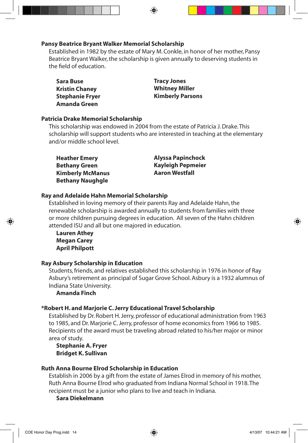# **Pansy Beatrice Bryant Walker Memorial Scholarship**

Established in 1982 by the estate of Mary M. Conkle, in honor of her mother, Pansy Beatrice Bryant Walker, the scholarship is given annually to deserving students in the field of education.

 **Sara Buse Kristin Chaney Stephanie Fryer Amanda Green**

**Tracy Jones Whitney Miller Kimberly Parsons**

# **Patricia Drake Memorial Scholarship**

This scholarship was endowed in 2004 from the estate of Patricia J. Drake. This scholarship will support students who are interested in teaching at the elementary and/or middle school level.

 **Heather Emery Bethany Green Kimberly McManus Bethany Naughgle**

**Alyssa Papinchock Kayleigh Pepmeier Aaron Westfall**

#### **Ray and Adelaide Hahn Memorial Scholarship**

Established in loving memory of their parents Ray and Adelaide Hahn, the renewable scholarship is awarded annually to students from families with three or more children pursuing degrees in education. All seven of the Hahn children attended ISU and all but one majored in education.

 **Lauren Athey Megan Carey April Philpott**

⇔

# **Ray Asbury Scholarship in Education**

Students, friends, and relatives established this scholarship in 1976 in honor of Ray Asbury's retirement as principal of Sugar Grove School. Asbury is a 1932 alumnus of Indiana State University.

# **Amanda Finch**

### **\*Robert H. and Marjorie C. Jerry Educational Travel Scholarship**

Established by Dr. Robert H. Jerry, professor of educational administration from 1963 to 1985, and Dr. Marjorie C. Jerry, professor of home economics from 1966 to 1985. Recipients of the award must be traveling abroad related to his/her major or minor area of study.

 **Stephanie A. Fryer Bridget K. Sullivan** 

# **Ruth Anna Bourne Elrod Scholarship in Education**

Establish in 2006 by a gift from the estate of James Elrod in memory of his mother, Ruth Anna Bourne Elrod who graduated from Indiana Normal School in 1918. The recipient must be a junior who plans to live and teach in Indiana.

# **Sara Diekelmann**

COE Honor Day Prog.indd 14  $\longleftrightarrow$   $\longleftrightarrow$   $\longleftrightarrow$   $\longleftrightarrow$   $\longleftrightarrow$  4/13/07 10:44:21 AM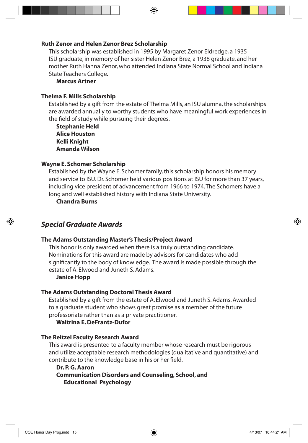

This scholarship was established in 1995 by Margaret Zenor Eldredge, a 1935 ISU graduate, in memory of her sister Helen Zenor Brez, a 1938 graduate, and her mother Ruth Hanna Zenor, who attended Indiana State Normal School and Indiana State Teachers College.

# **Marcus Artner**

# **Thelma F. Mills Scholarship**

Established by a gift from the estate of Thelma Mills, an ISU alumna, the scholarships are awarded annually to worthy students who have meaningful work experiences in the field of study while pursuing their degrees.

 **Stephanie Held Alice Houston Kelli Knight Amanda Wilson**

# **Wayne E. Schomer Scholarship**

Established by the Wayne E. Schomer family, this scholarship honors his memory and service to ISU. Dr. Schomer held various positions at ISU for more than 37 years, including vice president of advancement from 1966 to 1974. The Schomers have a long and well established history with Indiana State University.

 **Chandra Burns**

# *Special Graduate Awards*

# **The Adams Outstanding Master's Thesis/Project Award**

This honor is only awarded when there is a truly outstanding candidate. Nominations for this award are made by advisors for candidates who add significantly to the body of knowledge. The award is made possible through the estate of A. Elwood and Juneth S. Adams.

# **Janice Hopp**

# **The Adams Outstanding Doctoral Thesis Award**

Established by a gift from the estate of A. Elwood and Juneth S. Adams. Awarded to a graduate student who shows great promise as a member of the future professoriate rather than as a private practitioner.

# **Waltrina E. DeFrantz-Dufor**

# **The Reitzel Faculty Research Award**

This award is presented to a faculty member whose research must be rigorous and utilize acceptable research methodologies (qualitative and quantitative) and contribute to the knowledge base in his or her field.

# **Dr. P. G. Aaron**

 **Communication Disorders and Counseling, School, and Educational Psychology**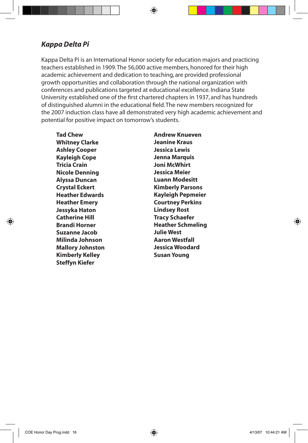# *Kappa Delta Pi*

Kappa Delta Pi is an International Honor society for education majors and practicing teachers established in 1909. The 56,000 active members, honored for their high academic achievement and dedication to teaching, are provided professional growth opportunities and collaboration through the national organization with conferences and publications targeted at educational excellence. Indiana State University established one of the first chartered chapters in 1937, and has hundreds of distinguished alumni in the educational field. The new members recognized for the 2007 induction class have all demonstrated very high academic achievement and potential for positive impact on tomorrow's students.

⊕

 **Tad Chew Whitney Clarke Ashley Cooper Kayleigh Cope Tricia Crain Nicole Denning Alyssa Duncan Crystal Eckert Heather Edwards Heather Emery Jessyka Haton Catherine Hill Brandi Horner Suzanne Jacob Milinda Johnson Mallory Johnston Kimberly Kelley Steffyn Kiefer**

⊕

**Andrew Knueven Jeanine Kraus Jessica Lewis Jenna Marquis Joni McWhirt Jessica Meier Luann Modesitt Kimberly Parsons Kayleigh Pepmeier Courtney Perkins Lindsey Rost Tracy Schaefer Heather Schmeling Julie West Aaron Westfall Jessica Woodard Susan Young**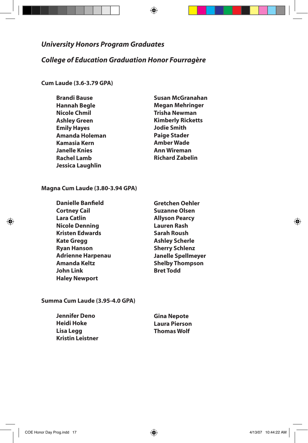# *University Honors Program Graduates*

# *College of Education Graduation Honor Fourragère*

 $\bigoplus$ 

# **Cum Laude (3.6-3.79 GPA)**

| <b>Brandi Bause</b>  | Susan McGranahan         |
|----------------------|--------------------------|
| <b>Hannah Begle</b>  | <b>Megan Mehringer</b>   |
| <b>Nicole Chmil</b>  | <b>Trisha Newman</b>     |
| <b>Ashley Green</b>  | <b>Kimberly Ricketts</b> |
| <b>Emily Hayes</b>   | <b>Jodie Smith</b>       |
| Amanda Holeman       | <b>Paige Stader</b>      |
| Kamasia Kern         | <b>Amber Wade</b>        |
| <b>Janelle Knies</b> | <b>Ann Wireman</b>       |
| Rachel Lamb          | <b>Richard Zabelin</b>   |
| Jessica Laughlin     |                          |

## **Magna Cum Laude (3.80-3.94 GPA)**

| <b>Danielle Banfield</b> | <b>Gretchen Oehler</b>    |
|--------------------------|---------------------------|
| <b>Cortney Cail</b>      | <b>Suzanne Olsen</b>      |
| <b>Lara Catlin</b>       | <b>Allyson Pearcy</b>     |
| <b>Nicole Denning</b>    | <b>Lauren Rash</b>        |
| <b>Kristen Edwards</b>   | Sarah Roush               |
| <b>Kate Gregg</b>        | <b>Ashley Scherle</b>     |
| <b>Ryan Hanson</b>       | <b>Sherry Schlenz</b>     |
| <b>Adrienne Harpenau</b> | <b>Janelle Spellmeyer</b> |
| <b>Amanda Keltz</b>      | <b>Shelby Thompson</b>    |
| <b>John Link</b>         | <b>Bret Todd</b>          |
| <b>Haley Newport</b>     |                           |

# **Summa Cum Laude (3.95-4.0 GPA)**

| Jennifer Deno    |
|------------------|
| Heidi Hoke       |
| Lisa Legg        |
| Kristin Leistner |

**Gina Nepote Laura Pierson Thomas Wolf**

⊕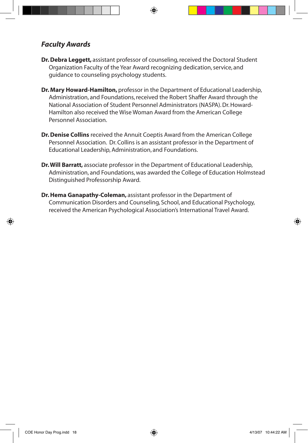# *Faculty Awards*

- **Dr. Debra Leggett,** assistant professor of counseling, received the Doctoral Student Organization Faculty of the Year Award recognizing dedication, service, and guidance to counseling psychology students.
- **Dr. Mary Howard-Hamilton,** professor in the Department of Educational Leadership, Administration, and Foundations, received the Robert Shaffer Award through the National Association of Student Personnel Administrators (NASPA). Dr. Howard-Hamilton also received the Wise Woman Award from the American College Personnel Association.
- **Dr. Denise Collins** received the Annuit Coeptis Award from the American College Personnel Association. Dr. Collins is an assistant professor in the Department of Educational Leadership, Administration, and Foundations.
- **Dr. Will Barratt,** associate professor in the Department of Educational Leadership, Administration, and Foundations, was awarded the College of Education Holmstead Distinguished Professorship Award.
- **Dr. Hema Ganapathy-Coleman,** assistant professor in the Department of Communication Disorders and Counseling, School, and Educational Psychology, received the American Psychological Association's International Travel Award.

⇔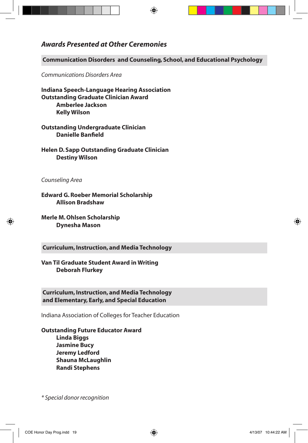# *Awards Presented at Other Ceremonies*

 **Communication Disorders and Counseling, School, and Educational Psychology**

⊕

*Communications Disorders Area*

**Indiana Speech-Language Hearing Association Outstanding Graduate Clinician Award Amberlee Jackson Kelly Wilson**

**Outstanding Undergraduate Clinician Danielle Banfield**

**Helen D. Sapp Outstanding Graduate Clinician Destiny Wilson**

*Counseling Area*

⇔

**Edward G. Roeber Memorial Scholarship Allison Bradshaw**

**Merle M. Ohlsen Scholarship Dynesha Mason**

 **Curriculum, Instruction, and Media Technology**

**Van Til Graduate Student Award in Writing Deborah Flurkey**

 **Curriculum, Instruction, and Media Technology and Elementary, Early, and Special Education**

Indiana Association of Colleges for Teacher Education

**Outstanding Future Educator Award Linda Biggs Jasmine Bucy Jeremy Ledford Shauna McLaughlin Randi Stephens**

*\* Special donor recognition*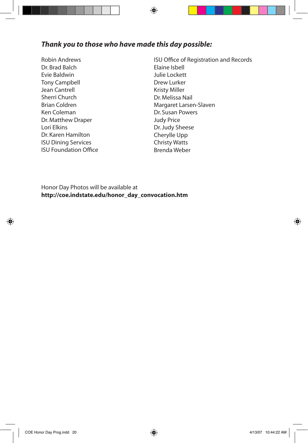# *Thank you to those who have made this day possible:*

 $\bigoplus$ 

Robin Andrews Dr. Brad Balch Evie Baldwin Tony Campbell Jean Cantrell Sherri Church Brian Coldren Ken Coleman Dr. Matthew Draper Lori Elkins Dr. Karen Hamilton ISU Dining Services ISU Foundation Office

⊕

ISU Office of Registration and Records Elaine Isbell Julie Lockett Drew Lurker Kristy Miller Dr. Melissa Nail Margaret Larsen-Slaven Dr. Susan Powers Judy Price Dr. Judy Sheese Cherylle Upp Christy Watts Brenda Weber

Honor Day Photos will be available at **http://coe.indstate.edu/honor\_day\_convocation.htm**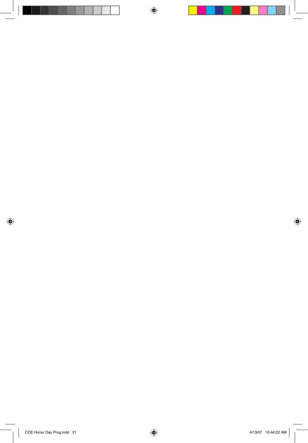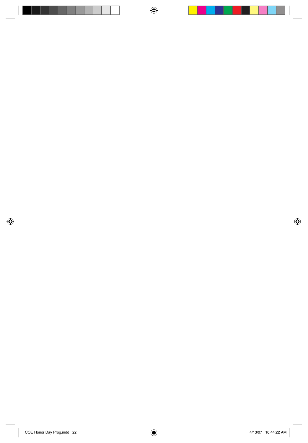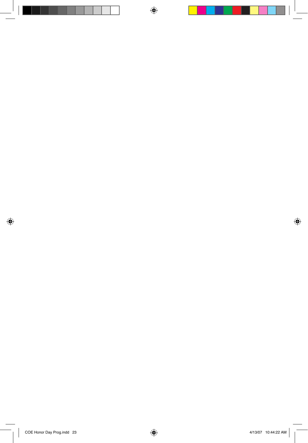